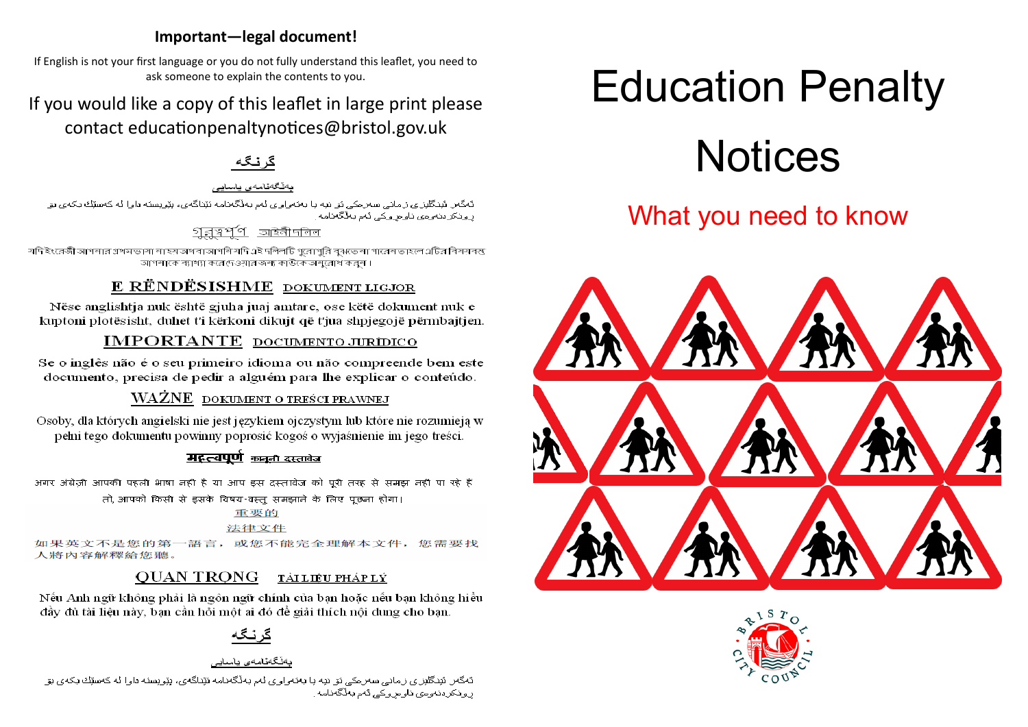## Important-legal document!

If English is not your first language or you do not fully understand this leaflet, you need to ask someone to explain the contents to you.

## If you would like a copy of this leaflet in large print please contact educationpenaltynotices@bristol.gov.uk

ىەنگەنامەي ياسايى

ڈیگٹر ڈینگلززی زمانی سٹرمکی ئو نیہ یا بلائواری ٹم بلاگتامہ ئیّناگی، پیّریسنہ دارا ٹه کھیلاف بکھی پو رونکردنموءی ناوحروکی ٹم بلاگلالمه

## অইনীদলিল

যদি ইংরেজী আশব্দার গ্রথমন্তাব্যা বা হয় অথবা আশব্দি যদি এই দলিলটি গরোপরি বঝছে বা পারেব ভাহলে এটির বিষয়বস্তু। -<br>আগলাকে ব্যাখ্যা করে দেওয়ার জন্য কাউকে অনুরোধ কর্নো।

## E RËNDËSISHME DOKUMENT LIGJOR

Nëse anglishtja nuk është gjuha juaj amtare, ose këtë dokument nuk e kuptoni plotësisht, duhet t'i kërkoni dikujt që t'jua shpjegojë përmbajtjen.

## **IMPORTANTE** DOCUMENTO JURÍDICO

Se o inglês não é o seu primeiro idioma ou não compreende bem este documento, precisa de pedir a alguém para lhe explicar o conteúdo.

## WAŻNE DOKUMENT O TREŚCI PRAWNEJ

Osoby, dla których angielski nie jest językiem ojczystym lub które nie rozumieją w pełni tego dokumentu powinny poprosić kogoś o wyjaśnienie im jego treści.

## मद्रत्वपूर्ण कान्त दस्तावेज

अगर अंग्रेजी आपकी पहली भाषा नहीं है या आप इस दस्तावेज को परी तरह से समझ नहीं पा रहे हैं।

तो, आपको किसी से इसके विषय-वस्तु समझाने के लिए पुछता होगा।

## 重要的

法律文件

如果英文不是您的第一語言,或您不能完全理解本文件,您需要找 人將內容解釋給您聽。

### **OUAN TRONG** TẢI LIỆU PHÁP LÝ

Nếu Anh ngữ không phải là ngôn ngữ chính của ban hoặc nếu ban không hiểu đầy đủ tài liêu này, ban cần hỏi một ai đó để giải thích nội dung cho ban.

۔<br>تَمگمر ائبنگلیزای زامانی سمرامکی نو انبه یا بمنمواوای لم بهلّگمنامه نیّناگهای، بیّویسنه داوا له کمسیّنك باکه ابو ر و ذکر دنہ وی ناو مر و کے رثم بھڑگھنامہ ِ

# **Education Penalty**



## What you need to know